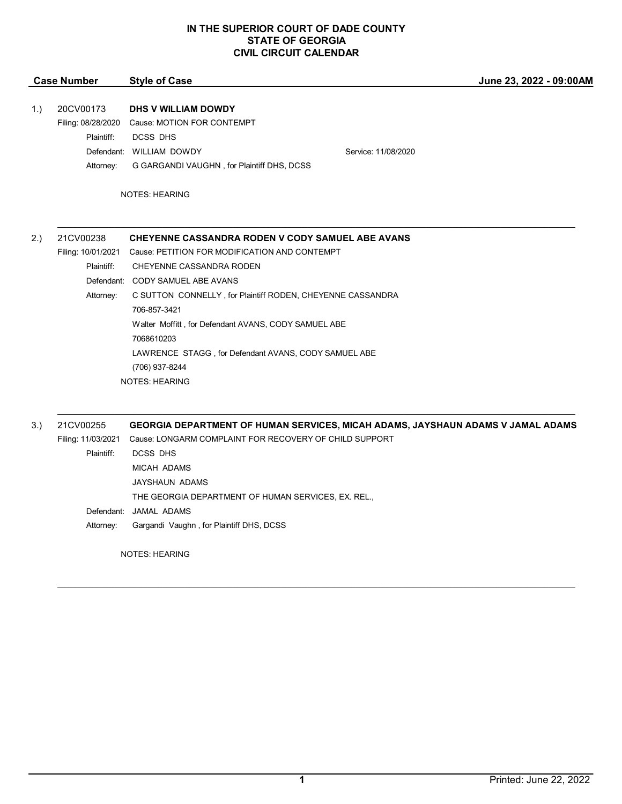| <b>Case Number</b> | <b>Style of Case</b> |
|--------------------|----------------------|
|                    |                      |

**June 23, 2022 - 09:00AM**

### 1.) 20CV00173 **DHS V WILLIAM DOWDY**

Filing: 08/28/2020 Cause: MOTION FOR CONTEMPT

Plaintiff: DCSS DHS

Defendant: WILLIAM DOWDY Service: 11/08/2020

Attorney: G GARGANDI VAUGHN , for Plaintiff DHS, DCSS

NOTES: HEARING

| 2.) | 21CV00238          | <b>CHEYENNE CASSANDRA RODEN V CODY SAMUEL ABE AVANS</b>                                            |  |  |
|-----|--------------------|----------------------------------------------------------------------------------------------------|--|--|
|     | Filing: 10/01/2021 | Cause: PETITION FOR MODIFICATION AND CONTEMPT<br>CHEYENNE CASSANDRA RODEN<br>CODY SAMUEL ABE AVANS |  |  |
|     | Plaintiff:         |                                                                                                    |  |  |
|     | Defendant:         |                                                                                                    |  |  |
|     | Attorney:          | C SUTTON CONNELLY, for Plaintiff RODEN, CHEYENNE CASSANDRA<br>706-857-3421                         |  |  |
|     |                    |                                                                                                    |  |  |
|     |                    | Walter Moffitt, for Defendant AVANS, CODY SAMUEL ABE                                               |  |  |
|     |                    | 7068610203                                                                                         |  |  |
|     |                    | LAWRENCE STAGG, for Defendant AVANS, CODY SAMUEL ABE                                               |  |  |
|     |                    | (706) 937-8244                                                                                     |  |  |
|     |                    | <b>NOTES: HEARING</b>                                                                              |  |  |
|     |                    |                                                                                                    |  |  |
| 3.) | 21CV00255          | GEORGIA DEPARTMENT OF HUMAN SERVICES, MICAH ADAMS, JAYSHAUN ADAMS V JAMAL ADAMS                    |  |  |
|     | Filing: 11/03/2021 | Cause: LONGARM COMPLAINT FOR RECOVERY OF CHILD SUPPORT                                             |  |  |
|     | Plaintiff:         | <b>DCSS DHS</b>                                                                                    |  |  |
|     |                    | <b>MICAH ADAMS</b>                                                                                 |  |  |

THE GEORGIA DEPARTMENT OF HUMAN SERVICES, EX. REL., Defendant: JAMAL ADAMS

Attorney: Gargandi Vaughn , for Plaintiff DHS, DCSS

JAYSHAUN ADAMS

NOTES: HEARING

 $\mathcal{L}_\mathcal{L} = \mathcal{L}_\mathcal{L} = \mathcal{L}_\mathcal{L} = \mathcal{L}_\mathcal{L} = \mathcal{L}_\mathcal{L} = \mathcal{L}_\mathcal{L} = \mathcal{L}_\mathcal{L} = \mathcal{L}_\mathcal{L} = \mathcal{L}_\mathcal{L} = \mathcal{L}_\mathcal{L} = \mathcal{L}_\mathcal{L} = \mathcal{L}_\mathcal{L} = \mathcal{L}_\mathcal{L} = \mathcal{L}_\mathcal{L} = \mathcal{L}_\mathcal{L} = \mathcal{L}_\mathcal{L} = \mathcal{L}_\mathcal{L}$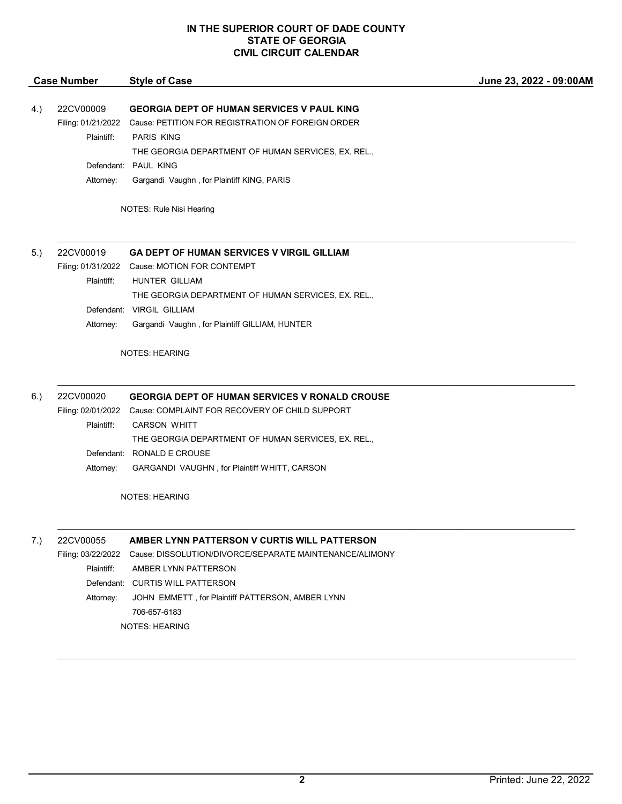|     | <b>Case Number</b>                                         | <b>Style of Case</b>                                                                                                                                                                                                                                                                   | June 23, 2022 - 09:00AM |
|-----|------------------------------------------------------------|----------------------------------------------------------------------------------------------------------------------------------------------------------------------------------------------------------------------------------------------------------------------------------------|-------------------------|
| 4.) | 22CV00009<br>Filing: 01/21/2022<br>Plaintiff:              | <b>GEORGIA DEPT OF HUMAN SERVICES V PAUL KING</b><br>Cause: PETITION FOR REGISTRATION OF FOREIGN ORDER<br><b>PARIS KING</b><br>THE GEORGIA DEPARTMENT OF HUMAN SERVICES, EX. REL.,                                                                                                     |                         |
|     | Attorney:                                                  | Defendant: PAUL KING<br>Gargandi Vaughn, for Plaintiff KING, PARIS                                                                                                                                                                                                                     |                         |
|     |                                                            | NOTES: Rule Nisi Hearing                                                                                                                                                                                                                                                               |                         |
| 5.) | 22CV00019<br>Plaintiff:                                    | <b>GA DEPT OF HUMAN SERVICES V VIRGIL GILLIAM</b><br>Filing: 01/31/2022 Cause: MOTION FOR CONTEMPT<br>HUNTER GILLIAM                                                                                                                                                                   |                         |
|     | Attorney:                                                  | THE GEORGIA DEPARTMENT OF HUMAN SERVICES, EX. REL.,<br>Defendant: VIRGIL GILLIAM<br>Gargandi Vaughn, for Plaintiff GILLIAM, HUNTER                                                                                                                                                     |                         |
|     |                                                            | <b>NOTES: HEARING</b>                                                                                                                                                                                                                                                                  |                         |
| 6.) | 22CV00020<br>Plaintiff:<br>Attorney:                       | <b>GEORGIA DEPT OF HUMAN SERVICES V RONALD CROUSE</b><br>Filing: 02/01/2022 Cause: COMPLAINT FOR RECOVERY OF CHILD SUPPORT<br><b>CARSON WHITT</b><br>THE GEORGIA DEPARTMENT OF HUMAN SERVICES, EX. REL.,<br>Defendant: RONALD E CROUSE<br>GARGANDI VAUGHN, for Plaintiff WHITT, CARSON |                         |
|     |                                                            | <b>NOTES: HEARING</b>                                                                                                                                                                                                                                                                  |                         |
| 7.) | 22CV00055<br>Filing: 03/22/2022<br>Plaintiff:<br>Attorney: | AMBER LYNN PATTERSON V CURTIS WILL PATTERSON<br>Cause: DISSOLUTION/DIVORCE/SEPARATE MAINTENANCE/ALIMONY<br>AMBER LYNN PATTERSON<br>Defendant: CURTIS WILL PATTERSON<br>JOHN EMMETT, for Plaintiff PATTERSON, AMBER LYNN<br>706-657-6183                                                |                         |

NOTES: HEARING

 $\mathcal{L}_\mathcal{L} = \mathcal{L}_\mathcal{L} = \mathcal{L}_\mathcal{L} = \mathcal{L}_\mathcal{L} = \mathcal{L}_\mathcal{L} = \mathcal{L}_\mathcal{L} = \mathcal{L}_\mathcal{L} = \mathcal{L}_\mathcal{L} = \mathcal{L}_\mathcal{L} = \mathcal{L}_\mathcal{L} = \mathcal{L}_\mathcal{L} = \mathcal{L}_\mathcal{L} = \mathcal{L}_\mathcal{L} = \mathcal{L}_\mathcal{L} = \mathcal{L}_\mathcal{L} = \mathcal{L}_\mathcal{L} = \mathcal{L}_\mathcal{L}$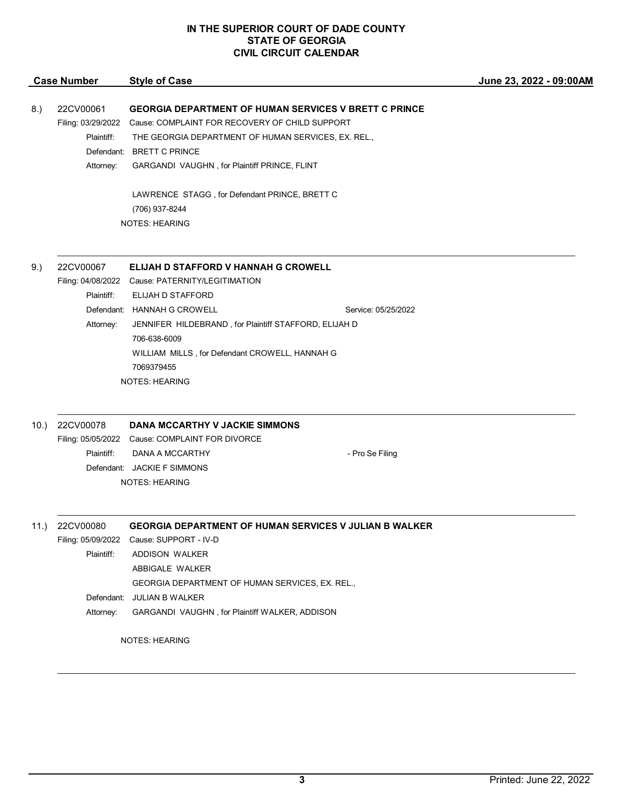$\mathcal{L}_\mathcal{L} = \mathcal{L}_\mathcal{L} = \mathcal{L}_\mathcal{L} = \mathcal{L}_\mathcal{L} = \mathcal{L}_\mathcal{L} = \mathcal{L}_\mathcal{L} = \mathcal{L}_\mathcal{L} = \mathcal{L}_\mathcal{L} = \mathcal{L}_\mathcal{L} = \mathcal{L}_\mathcal{L} = \mathcal{L}_\mathcal{L} = \mathcal{L}_\mathcal{L} = \mathcal{L}_\mathcal{L} = \mathcal{L}_\mathcal{L} = \mathcal{L}_\mathcal{L} = \mathcal{L}_\mathcal{L} = \mathcal{L}_\mathcal{L}$ 

 $\mathcal{L}_\mathcal{L} = \mathcal{L}_\mathcal{L} = \mathcal{L}_\mathcal{L} = \mathcal{L}_\mathcal{L} = \mathcal{L}_\mathcal{L} = \mathcal{L}_\mathcal{L} = \mathcal{L}_\mathcal{L} = \mathcal{L}_\mathcal{L} = \mathcal{L}_\mathcal{L} = \mathcal{L}_\mathcal{L} = \mathcal{L}_\mathcal{L} = \mathcal{L}_\mathcal{L} = \mathcal{L}_\mathcal{L} = \mathcal{L}_\mathcal{L} = \mathcal{L}_\mathcal{L} = \mathcal{L}_\mathcal{L} = \mathcal{L}_\mathcal{L}$ 

\_\_\_\_\_\_\_\_\_\_\_\_\_\_\_\_\_\_\_\_\_\_\_\_\_\_\_\_\_\_\_\_\_\_\_\_\_\_\_\_\_\_\_\_\_\_\_\_\_\_\_\_\_\_\_\_\_\_\_\_\_\_\_\_\_\_\_\_\_\_\_\_\_\_\_\_\_\_\_\_\_\_\_\_\_\_\_\_\_\_\_\_\_\_\_\_\_\_\_\_\_\_\_\_\_\_\_\_\_\_\_\_\_\_\_\_\_\_

\_\_\_\_\_\_\_\_\_\_\_\_\_\_\_\_\_\_\_\_\_\_\_\_\_\_\_\_\_\_\_\_\_\_\_\_\_\_\_\_\_\_\_\_\_\_\_\_\_\_\_\_\_\_\_\_\_\_\_\_\_\_\_\_\_\_\_\_\_\_\_\_\_\_\_\_\_\_\_\_\_\_\_\_\_\_\_\_\_\_\_\_\_\_\_\_\_\_\_\_\_\_\_\_\_\_\_\_\_\_\_\_\_\_\_\_\_\_

#### **Case Number Style of Case**

# 8.) 22CV00061 **GEORGIA DEPARTMENT OF HUMAN SERVICES V BRETT C PRINCE**

Filing: 03/29/2022 Cause: COMPLAINT FOR RECOVERY OF CHILD SUPPORT

Plaintiff: THE GEORGIA DEPARTMENT OF HUMAN SERVICES, EX. REL.,

Defendant: BRETT C PRINCE

Attorney: GARGANDI VAUGHN , for Plaintiff PRINCE, FLINT

LAWRENCE STAGG , for Defendant PRINCE, BRETT C (706) 937-8244 NOTES: HEARING

### 9.) 22CV00067 **ELIJAH D STAFFORD V HANNAH G CROWELL**

Filing: 04/08/2022 Cause: PATERNITY/LEGITIMATION Plaintiff: ELIJAH D STAFFORD Defendant: HANNAH G CROWELL Service: 05/25/2022 Attorney: JENNIFER HILDEBRAND , for Plaintiff STAFFORD, ELIJAH D 706-638-6009

WILLIAM MILLS , for Defendant CROWELL, HANNAH G 7069379455 NOTES: HEARING

### 10.) 22CV00078 **DANA MCCARTHY V JACKIE SIMMONS**

Filing: 05/05/2022 Cause: COMPLAINT FOR DIVORCE Plaintiff: DANA A MCCARTHY **A CONSERVANT ASSESS** - Pro Se Filing Defendant: JACKIE F SIMMONS NOTES: HEARING

### 11.) 22CV00080 **GEORGIA DEPARTMENT OF HUMAN SERVICES V JULIAN B WALKER**

Filing: 05/09/2022 Cause: SUPPORT - IV-D

Plaintiff: ADDISON WALKER

ABBIGALE WALKER

GEORGIA DEPARTMENT OF HUMAN SERVICES, EX. REL.,

Defendant: JULIAN B WALKER

Attorney: GARGANDI VAUGHN , for Plaintiff WALKER, ADDISON

NOTES: HEARING

**June 23, 2022 - 09:00AM**